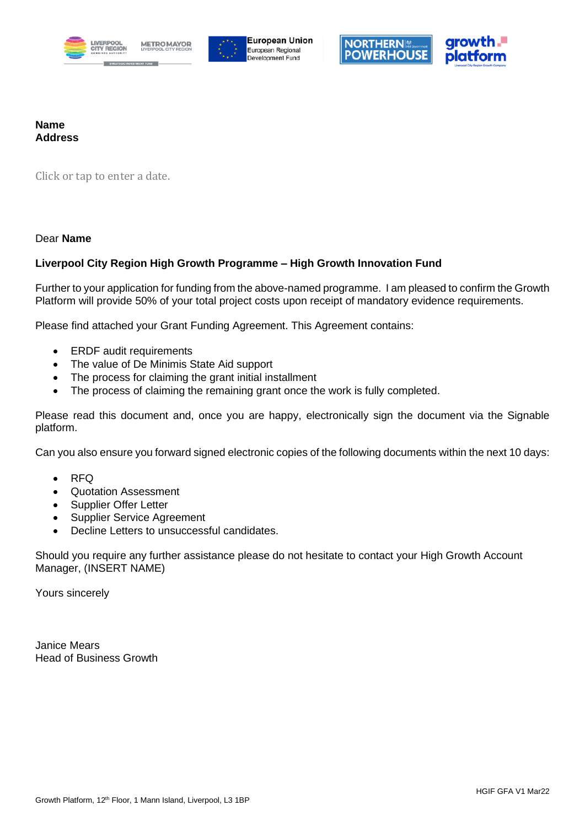





#### **Name Address**

Click or tap to enter a date.

#### Dear **Name**

#### **Liverpool City Region High Growth Programme – High Growth Innovation Fund**

Further to your application for funding from the above-named programme. I am pleased to confirm the Growth Platform will provide 50% of your total project costs upon receipt of mandatory evidence requirements.

Please find attached your Grant Funding Agreement. This Agreement contains:

- ERDF audit requirements
- The value of De Minimis State Aid support
- The process for claiming the grant initial installment
- The process of claiming the remaining grant once the work is fully completed.

Please read this document and, once you are happy, electronically sign the document via the Signable platform.

Can you also ensure you forward signed electronic copies of the following documents within the next 10 days:

- RFQ
- Quotation Assessment
- Supplier Offer Letter
- Supplier Service Agreement
- Decline Letters to unsuccessful candidates.

Should you require any further assistance please do not hesitate to contact your High Growth Account Manager, (INSERT NAME)

Yours sincerely

Janice Mears Head of Business Growth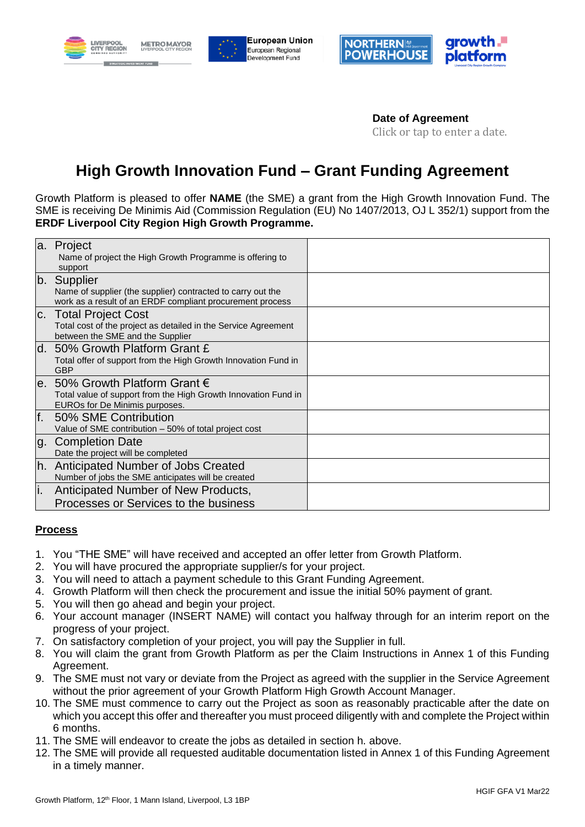





**Date of Agreement** Click or tap to enter a date.

# **High Growth Innovation Fund – Grant Funding Agreement**

Growth Platform is pleased to offer **NAME** (the SME) a grant from the High Growth Innovation Fund. The SME is receiving De Minimis Aid (Commission Regulation (EU) No 1407/2013, OJ L 352/1) support from the **ERDF Liverpool City Region High Growth Programme.**

| a.  | Project<br>Name of project the High Growth Programme is offering to<br>support                                                  |  |
|-----|---------------------------------------------------------------------------------------------------------------------------------|--|
|     | b. Supplier<br>Name of supplier (the supplier) contracted to carry out the                                                      |  |
|     | work as a result of an ERDF compliant procurement process                                                                       |  |
|     | c. Total Project Cost                                                                                                           |  |
|     | Total cost of the project as detailed in the Service Agreement<br>between the SME and the Supplier                              |  |
| d.  | 50% Growth Platform Grant £<br>Total offer of support from the High Growth Innovation Fund in<br><b>GBP</b>                     |  |
| e.  | 50% Growth Platform Grant €<br>Total value of support from the High Growth Innovation Fund in<br>EUROs for De Minimis purposes. |  |
| f.  | 50% SME Contribution<br>Value of SME contribution - 50% of total project cost                                                   |  |
| g.  | <b>Completion Date</b><br>Date the project will be completed                                                                    |  |
| lh. | Anticipated Number of Jobs Created<br>Number of jobs the SME anticipates will be created                                        |  |
| li. | Anticipated Number of New Products,                                                                                             |  |
|     | Processes or Services to the business                                                                                           |  |

#### **Process**

- 1. You "THE SME" will have received and accepted an offer letter from Growth Platform.
- 2. You will have procured the appropriate supplier/s for your project.
- 3. You will need to attach a payment schedule to this Grant Funding Agreement.
- 4. Growth Platform will then check the procurement and issue the initial 50% payment of grant.
- 5. You will then go ahead and begin your project.
- 6. Your account manager (INSERT NAME) will contact you halfway through for an interim report on the progress of your project.
- 7. On satisfactory completion of your project, you will pay the Supplier in full.
- 8. You will claim the grant from Growth Platform as per the Claim Instructions in Annex 1 of this Funding Agreement.
- 9. The SME must not vary or deviate from the Project as agreed with the supplier in the Service Agreement without the prior agreement of your Growth Platform High Growth Account Manager.
- 10. The SME must commence to carry out the Project as soon as reasonably practicable after the date on which you accept this offer and thereafter you must proceed diligently with and complete the Project within 6 months.
- 11. The SME will endeavor to create the jobs as detailed in section h. above.
- 12. The SME will provide all requested auditable documentation listed in Annex 1 of this Funding Agreement in a timely manner.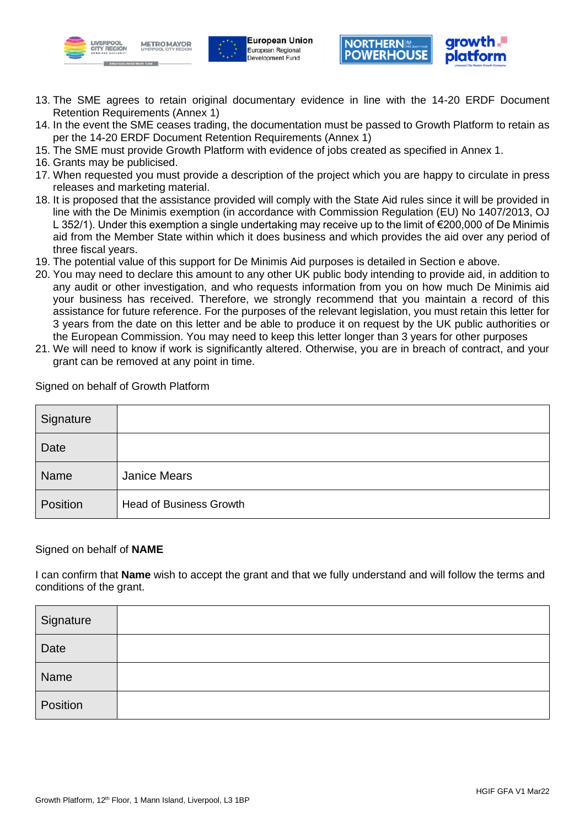





- 13. The SME agrees to retain original documentary evidence in line with the 14-20 ERDF Document Retention Requirements (Annex 1)
- 14. In the event the SME ceases trading, the documentation must be passed to Growth Platform to retain as per the 14-20 ERDF Document Retention Requirements (Annex 1)
- 15. The SME must provide Growth Platform with evidence of jobs created as specified in Annex 1.
- 16. Grants may be publicised.
- 17. When requested you must provide a description of the project which you are happy to circulate in press releases and marketing material.
- 18. It is proposed that the assistance provided will comply with the State Aid rules since it will be provided in line with the De Minimis exemption (in accordance with Commission Regulation (EU) No 1407/2013, OJ L 352/1). Under this exemption a single undertaking may receive up to the limit of €200,000 of De Minimis aid from the Member State within which it does business and which provides the aid over any period of three fiscal years.
- 19. The potential value of this support for De Minimis Aid purposes is detailed in Section e above.
- 20. You may need to declare this amount to any other UK public body intending to provide aid, in addition to any audit or other investigation, and who requests information from you on how much De Minimis aid your business has received. Therefore, we strongly recommend that you maintain a record of this assistance for future reference. For the purposes of the relevant legislation, you must retain this letter for 3 years from the date on this letter and be able to produce it on request by the UK public authorities or the European Commission. You may need to keep this letter longer than 3 years for other purposes
- 21. We will need to know if work is significantly altered. Otherwise, you are in breach of contract, and your grant can be removed at any point in time.

| Signature |                                |
|-----------|--------------------------------|
| Date      |                                |
| Name      | <b>Janice Mears</b>            |
| Position  | <b>Head of Business Growth</b> |

Signed on behalf of Growth Platform

#### Signed on behalf of **NAME**

I can confirm that **Name** wish to accept the grant and that we fully understand and will follow the terms and conditions of the grant.

| Signature |  |
|-----------|--|
| Date      |  |
| Name      |  |
| Position  |  |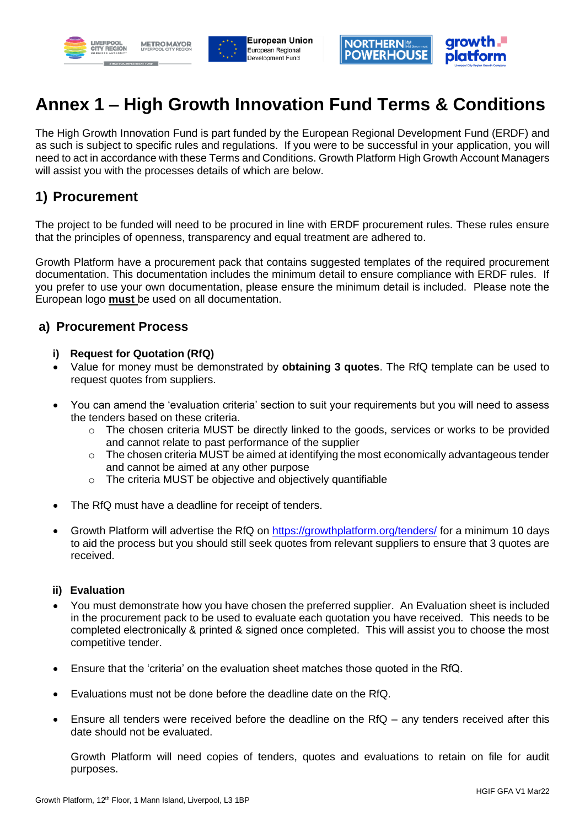





# **Annex 1 – High Growth Innovation Fund Terms & Conditions**

The High Growth Innovation Fund is part funded by the European Regional Development Fund (ERDF) and as such is subject to specific rules and regulations. If you were to be successful in your application, you will need to act in accordance with these Terms and Conditions. Growth Platform High Growth Account Managers will assist you with the processes details of which are below.

### **1) Procurement**

The project to be funded will need to be procured in line with ERDF procurement rules. These rules ensure that the principles of openness, transparency and equal treatment are adhered to.

Growth Platform have a procurement pack that contains suggested templates of the required procurement documentation. This documentation includes the minimum detail to ensure compliance with ERDF rules. If you prefer to use your own documentation, please ensure the minimum detail is included. Please note the European logo **must** be used on all documentation.

#### **a) Procurement Process**

- **i) Request for Quotation (RfQ)**
- Value for money must be demonstrated by **obtaining 3 quotes**. The RfQ template can be used to request quotes from suppliers.
- You can amend the 'evaluation criteria' section to suit your requirements but you will need to assess the tenders based on these criteria.
	- $\circ$  The chosen criteria MUST be directly linked to the goods, services or works to be provided and cannot relate to past performance of the supplier
	- $\circ$  The chosen criteria MUST be aimed at identifying the most economically advantageous tender and cannot be aimed at any other purpose
	- o The criteria MUST be objective and objectively quantifiable
- The RfQ must have a deadline for receipt of tenders.
- Growth Platform will advertise the RfQ on<https://growthplatform.org/tenders/> for a minimum 10 days to aid the process but you should still seek quotes from relevant suppliers to ensure that 3 quotes are received.

#### **ii) Evaluation**

- You must demonstrate how you have chosen the preferred supplier. An Evaluation sheet is included in the procurement pack to be used to evaluate each quotation you have received. This needs to be completed electronically & printed & signed once completed. This will assist you to choose the most competitive tender.
- Ensure that the 'criteria' on the evaluation sheet matches those quoted in the RfQ.
- Evaluations must not be done before the deadline date on the RfQ.
- Ensure all tenders were received before the deadline on the RfQ any tenders received after this date should not be evaluated.

Growth Platform will need copies of tenders, quotes and evaluations to retain on file for audit purposes.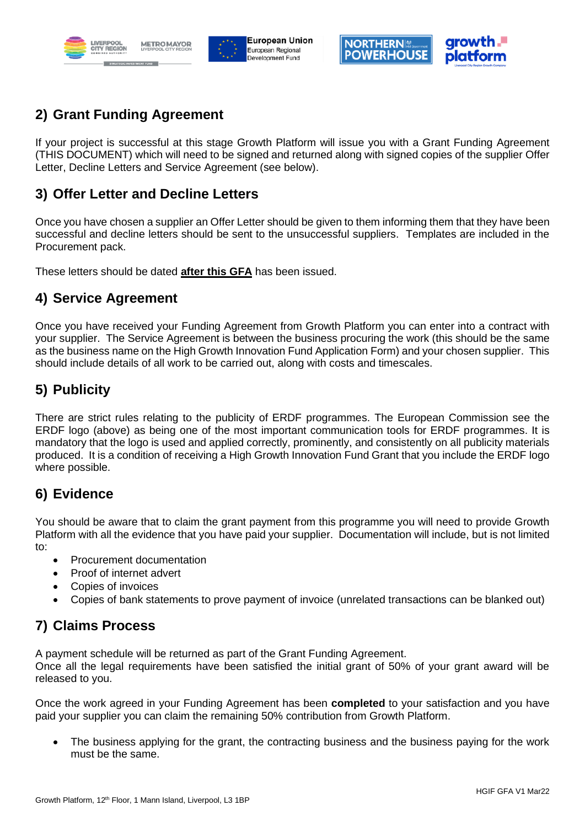





# **2) Grant Funding Agreement**

If your project is successful at this stage Growth Platform will issue you with a Grant Funding Agreement (THIS DOCUMENT) which will need to be signed and returned along with signed copies of the supplier Offer Letter, Decline Letters and Service Agreement (see below).

### **3) Offer Letter and Decline Letters**

Once you have chosen a supplier an Offer Letter should be given to them informing them that they have been successful and decline letters should be sent to the unsuccessful suppliers. Templates are included in the Procurement pack.

These letters should be dated **after this GFA** has been issued.

### **4) Service Agreement**

Once you have received your Funding Agreement from Growth Platform you can enter into a contract with your supplier. The Service Agreement is between the business procuring the work (this should be the same as the business name on the High Growth Innovation Fund Application Form) and your chosen supplier. This should include details of all work to be carried out, along with costs and timescales.

# **5) Publicity**

There are strict rules relating to the publicity of ERDF programmes. The European Commission see the ERDF logo (above) as being one of the most important communication tools for ERDF programmes. It is mandatory that the logo is used and applied correctly, prominently, and consistently on all publicity materials produced. It is a condition of receiving a High Growth Innovation Fund Grant that you include the ERDF logo where possible.

# **6) Evidence**

You should be aware that to claim the grant payment from this programme you will need to provide Growth Platform with all the evidence that you have paid your supplier. Documentation will include, but is not limited to:

- Procurement documentation
- Proof of internet advert
- Copies of invoices
- Copies of bank statements to prove payment of invoice (unrelated transactions can be blanked out)

### **7) Claims Process**

A payment schedule will be returned as part of the Grant Funding Agreement.

Once all the legal requirements have been satisfied the initial grant of 50% of your grant award will be released to you.

Once the work agreed in your Funding Agreement has been **completed** to your satisfaction and you have paid your supplier you can claim the remaining 50% contribution from Growth Platform.

The business applying for the grant, the contracting business and the business paying for the work must be the same.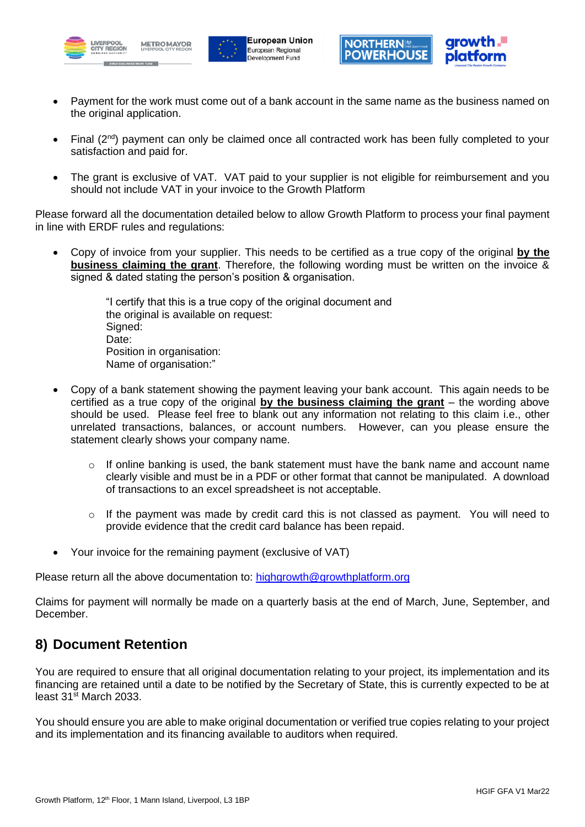





- Payment for the work must come out of a bank account in the same name as the business named on the original application.
- Final  $(2^{nd})$  payment can only be claimed once all contracted work has been fully completed to your satisfaction and paid for.
- The grant is exclusive of VAT. VAT paid to your supplier is not eligible for reimbursement and you should not include VAT in your invoice to the Growth Platform

Please forward all the documentation detailed below to allow Growth Platform to process your final payment in line with ERDF rules and regulations:

• Copy of invoice from your supplier. This needs to be certified as a true copy of the original **by the business claiming the grant**. Therefore, the following wording must be written on the invoice & signed & dated stating the person's position & organisation.

> "I certify that this is a true copy of the original document and the original is available on request: Signed: Date: Position in organisation: Name of organisation:"

- Copy of a bank statement showing the payment leaving your bank account. This again needs to be certified as a true copy of the original **by the business claiming the grant** – the wording above should be used. Please feel free to blank out any information not relating to this claim i.e., other unrelated transactions, balances, or account numbers. However, can you please ensure the statement clearly shows your company name.
	- $\circ$  If online banking is used, the bank statement must have the bank name and account name clearly visible and must be in a PDF or other format that cannot be manipulated. A download of transactions to an excel spreadsheet is not acceptable.
	- $\circ$  If the payment was made by credit card this is not classed as payment. You will need to provide evidence that the credit card balance has been repaid.
- Your invoice for the remaining payment (exclusive of VAT)

Please return all the above documentation to: [highgrowth@growthplatform.org](mailto:highgrowth@growthplatform.org)

Claims for payment will normally be made on a quarterly basis at the end of March, June, September, and December.

# **8) Document Retention**

You are required to ensure that all original documentation relating to your project, its implementation and its financing are retained until a date to be notified by the Secretary of State, this is currently expected to be at least 31st March 2033.

You should ensure you are able to make original documentation or verified true copies relating to your project and its implementation and its financing available to auditors when required.